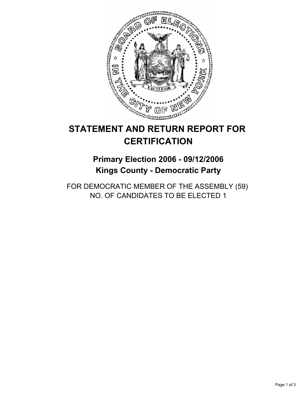

# **STATEMENT AND RETURN REPORT FOR CERTIFICATION**

## **Primary Election 2006 - 09/12/2006 Kings County - Democratic Party**

FOR DEMOCRATIC MEMBER OF THE ASSEMBLY (59) NO. OF CANDIDATES TO BE ELECTED 1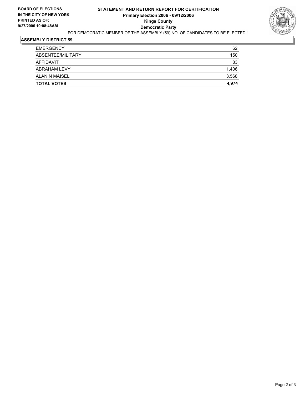

### **ASSEMBLY DISTRICT 59**

| <b>TOTAL VOTES</b>  | 4,974 |
|---------------------|-------|
| ALAN N MAISEL       | 3,568 |
| <b>ABRAHAM LEVY</b> | 1,406 |
| AFFIDAVIT           | 83    |
| ABSENTEE/MILITARY   | 150   |
| <b>EMERGENCY</b>    | 62    |